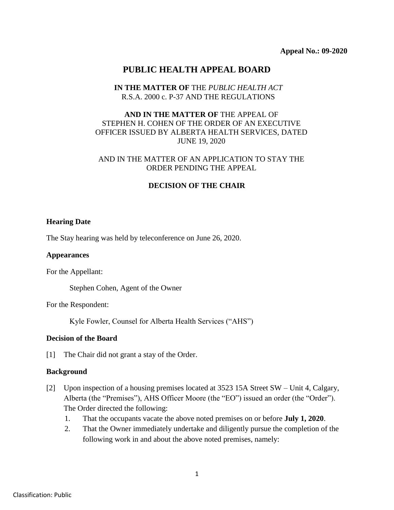# **PUBLIC HEALTH APPEAL BOARD**

## **IN THE MATTER OF** THE *PUBLIC HEALTH ACT* R.S.A. 2000 c. P-37 AND THE REGULATIONS

# **AND IN THE MATTER OF** THE APPEAL OF STEPHEN H. COHEN OF THE ORDER OF AN EXECUTIVE OFFICER ISSUED BY ALBERTA HEALTH SERVICES, DATED JUNE 19, 2020

## AND IN THE MATTER OF AN APPLICATION TO STAY THE ORDER PENDING THE APPEAL

# **DECISION OF THE CHAIR**

## **Hearing Date**

The Stay hearing was held by teleconference on June 26, 2020.

#### **Appearances**

For the Appellant:

Stephen Cohen, Agent of the Owner

For the Respondent:

Kyle Fowler, Counsel for Alberta Health Services ("AHS")

#### **Decision of the Board**

[1] The Chair did not grant a stay of the Order.

#### **Background**

- [2] Upon inspection of a housing premises located at 3523 15A Street SW Unit 4, Calgary, Alberta (the "Premises"), AHS Officer Moore (the "EO") issued an order (the "Order"). The Order directed the following:
	- 1. That the occupants vacate the above noted premises on or before **July 1, 2020**.
	- 2. That the Owner immediately undertake and diligently pursue the completion of the following work in and about the above noted premises, namely: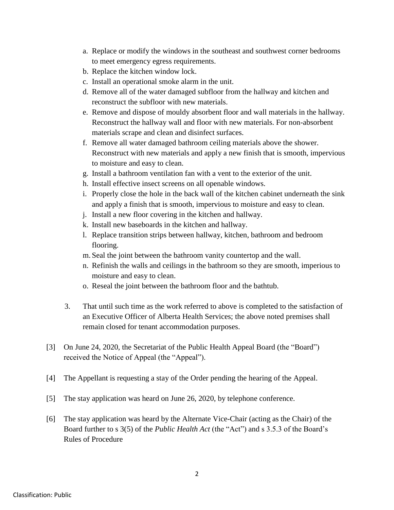- a. Replace or modify the windows in the southeast and southwest corner bedrooms to meet emergency egress requirements.
- b. Replace the kitchen window lock.
- c. Install an operational smoke alarm in the unit.
- d. Remove all of the water damaged subfloor from the hallway and kitchen and reconstruct the subfloor with new materials.
- e. Remove and dispose of mouldy absorbent floor and wall materials in the hallway. Reconstruct the hallway wall and floor with new materials. For non-absorbent materials scrape and clean and disinfect surfaces.
- f. Remove all water damaged bathroom ceiling materials above the shower. Reconstruct with new materials and apply a new finish that is smooth, impervious to moisture and easy to clean.
- g. Install a bathroom ventilation fan with a vent to the exterior of the unit.
- h. Install effective insect screens on all openable windows.
- i. Properly close the hole in the back wall of the kitchen cabinet underneath the sink and apply a finish that is smooth, impervious to moisture and easy to clean.
- j. Install a new floor covering in the kitchen and hallway.
- k. Install new baseboards in the kitchen and hallway.
- l. Replace transition strips between hallway, kitchen, bathroom and bedroom flooring.
- m. Seal the joint between the bathroom vanity countertop and the wall.
- n. Refinish the walls and ceilings in the bathroom so they are smooth, imperious to moisture and easy to clean.
- o. Reseal the joint between the bathroom floor and the bathtub.
- 3. That until such time as the work referred to above is completed to the satisfaction of an Executive Officer of Alberta Health Services; the above noted premises shall remain closed for tenant accommodation purposes.
- [3] On June 24, 2020, the Secretariat of the Public Health Appeal Board (the "Board") received the Notice of Appeal (the "Appeal").
- [4] The Appellant is requesting a stay of the Order pending the hearing of the Appeal.
- [5] The stay application was heard on June 26, 2020, by telephone conference.
- [6] The stay application was heard by the Alternate Vice-Chair (acting as the Chair) of the Board further to s 3(5) of the *Public Health Act* (the "Act") and s 3.5.3 of the Board's Rules of Procedure

2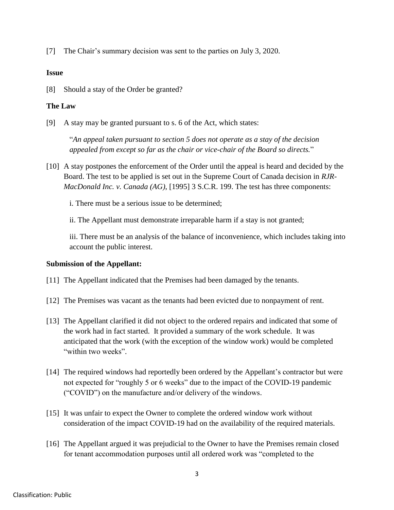[7] The Chair's summary decision was sent to the parties on July 3, 2020.

## **Issue**

[8] Should a stay of the Order be granted?

# **The Law**

[9] A stay may be granted pursuant to s. 6 of the Act, which states:

"*An appeal taken pursuant to section 5 does not operate as a stay of the decision appealed from except so far as the chair or vice-chair of the Board so directs.*"

[10] A stay postpones the enforcement of the Order until the appeal is heard and decided by the Board. The test to be applied is set out in the Supreme Court of Canada decision in *RJR-MacDonald Inc. v. Canada (AG)*, [1995] 3 S.C.R. 199. The test has three components:

i. There must be a serious issue to be determined;

ii. The Appellant must demonstrate irreparable harm if a stay is not granted;

iii. There must be an analysis of the balance of inconvenience, which includes taking into account the public interest.

# **Submission of the Appellant:**

- [11] The Appellant indicated that the Premises had been damaged by the tenants.
- [12] The Premises was vacant as the tenants had been evicted due to nonpayment of rent.
- [13] The Appellant clarified it did not object to the ordered repairs and indicated that some of the work had in fact started. It provided a summary of the work schedule. It was anticipated that the work (with the exception of the window work) would be completed "within two weeks".
- [14] The required windows had reportedly been ordered by the Appellant's contractor but were not expected for "roughly 5 or 6 weeks" due to the impact of the COVID-19 pandemic ("COVID") on the manufacture and/or delivery of the windows.
- [15] It was unfair to expect the Owner to complete the ordered window work without consideration of the impact COVID-19 had on the availability of the required materials.
- [16] The Appellant argued it was prejudicial to the Owner to have the Premises remain closed for tenant accommodation purposes until all ordered work was "completed to the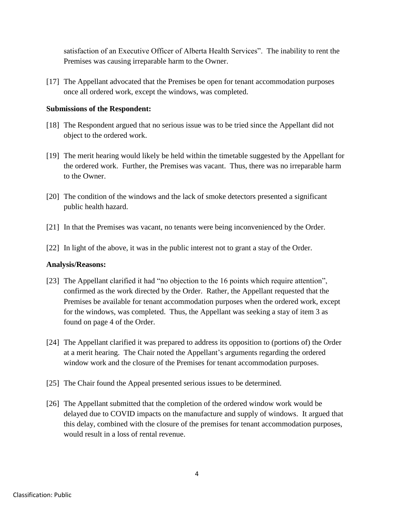satisfaction of an Executive Officer of Alberta Health Services". The inability to rent the Premises was causing irreparable harm to the Owner.

[17] The Appellant advocated that the Premises be open for tenant accommodation purposes once all ordered work, except the windows, was completed.

## **Submissions of the Respondent:**

- [18] The Respondent argued that no serious issue was to be tried since the Appellant did not object to the ordered work.
- [19] The merit hearing would likely be held within the timetable suggested by the Appellant for the ordered work. Further, the Premises was vacant. Thus, there was no irreparable harm to the Owner.
- [20] The condition of the windows and the lack of smoke detectors presented a significant public health hazard.
- [21] In that the Premises was vacant, no tenants were being inconvenienced by the Order.
- [22] In light of the above, it was in the public interest not to grant a stay of the Order.

#### **Analysis/Reasons:**

- [23] The Appellant clarified it had "no objection to the 16 points which require attention", confirmed as the work directed by the Order. Rather, the Appellant requested that the Premises be available for tenant accommodation purposes when the ordered work, except for the windows, was completed. Thus, the Appellant was seeking a stay of item 3 as found on page 4 of the Order.
- [24] The Appellant clarified it was prepared to address its opposition to (portions of) the Order at a merit hearing. The Chair noted the Appellant's arguments regarding the ordered window work and the closure of the Premises for tenant accommodation purposes.
- [25] The Chair found the Appeal presented serious issues to be determined.
- [26] The Appellant submitted that the completion of the ordered window work would be delayed due to COVID impacts on the manufacture and supply of windows. It argued that this delay, combined with the closure of the premises for tenant accommodation purposes, would result in a loss of rental revenue.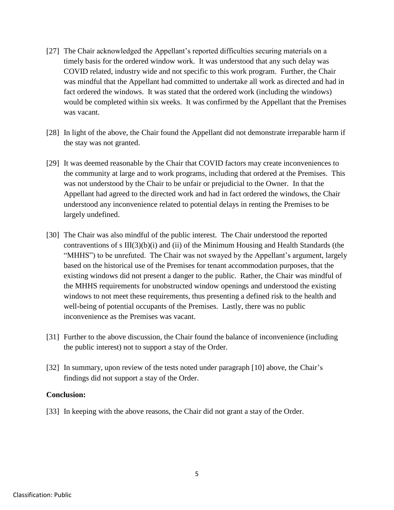- [27] The Chair acknowledged the Appellant's reported difficulties securing materials on a timely basis for the ordered window work. It was understood that any such delay was COVID related, industry wide and not specific to this work program. Further, the Chair was mindful that the Appellant had committed to undertake all work as directed and had in fact ordered the windows. It was stated that the ordered work (including the windows) would be completed within six weeks. It was confirmed by the Appellant that the Premises was vacant.
- [28] In light of the above, the Chair found the Appellant did not demonstrate irreparable harm if the stay was not granted.
- [29] It was deemed reasonable by the Chair that COVID factors may create inconveniences to the community at large and to work programs, including that ordered at the Premises. This was not understood by the Chair to be unfair or prejudicial to the Owner. In that the Appellant had agreed to the directed work and had in fact ordered the windows, the Chair understood any inconvenience related to potential delays in renting the Premises to be largely undefined.
- [30] The Chair was also mindful of the public interest. The Chair understood the reported contraventions of s  $III(3)(b)(i)$  and (ii) of the Minimum Housing and Health Standards (the "MHHS") to be unrefuted. The Chair was not swayed by the Appellant's argument, largely based on the historical use of the Premises for tenant accommodation purposes, that the existing windows did not present a danger to the public. Rather, the Chair was mindful of the MHHS requirements for unobstructed window openings and understood the existing windows to not meet these requirements, thus presenting a defined risk to the health and well-being of potential occupants of the Premises. Lastly, there was no public inconvenience as the Premises was vacant.
- [31] Further to the above discussion, the Chair found the balance of inconvenience (including the public interest) not to support a stay of the Order.
- [32] In summary, upon review of the tests noted under paragraph [10] above, the Chair's findings did not support a stay of the Order.

#### **Conclusion:**

[33] In keeping with the above reasons, the Chair did not grant a stay of the Order.